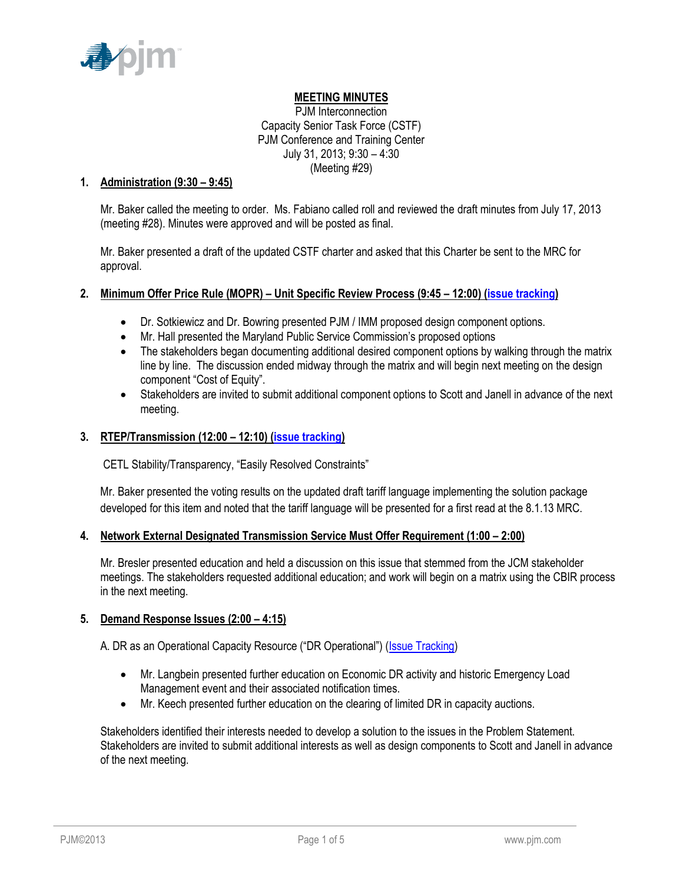

## **MEETING MINUTES**

PJM Interconnection Capacity Senior Task Force (CSTF) PJM Conference and Training Center July 31, 2013; 9:30 – 4:30 (Meeting #29)

### **1. Administration (9:30 – 9:45)**

Mr. Baker called the meeting to order. Ms. Fabiano called roll and reviewed the draft minutes from July 17, 2013 (meeting #28). Minutes were approved and will be posted as final.

Mr. Baker presented a draft of the updated CSTF charter and asked that this Charter be sent to the MRC for approval.

### **2. Minimum Offer Price Rule (MOPR) – Unit Specific Review Process (9:45 – 12:00) [\(issue tracking\)](http://www.pjm.com/committees-and-groups/issue-tracking/issue-tracking-details.aspx?Issue=%7b615F4A47-A683-4E2F-90EA-10FFFCBFA91D%7d)**

- Dr. Sotkiewicz and Dr. Bowring presented PJM / IMM proposed design component options.
- Mr. Hall presented the Maryland Public Service Commission's proposed options
- The stakeholders began documenting additional desired component options by walking through the matrix line by line. The discussion ended midway through the matrix and will begin next meeting on the design component "Cost of Equity".
- Stakeholders are invited to submit additional component options to Scott and Janell in advance of the next meeting.

### **3. RTEP/Transmission (12:00 – 12:10) [\(issue tracking\)](http://www.pjm.com/committees-and-groups/issue-tracking/issue-tracking-details.aspx?Issue=%7bBB8F79E5-1004-41BD-9AC0-BB59FF349CA8%7d)**

CETL Stability/Transparency, "Easily Resolved Constraints"

Mr. Baker presented the voting results on the updated draft tariff language implementing the solution package developed for this item and noted that the tariff language will be presented for a first read at the 8.1.13 MRC.

#### **4. Network External Designated Transmission Service Must Offer Requirement (1:00 – 2:00)**

Mr. Bresler presented education and held a discussion on this issue that stemmed from the JCM stakeholder meetings. The stakeholders requested additional education; and work will begin on a matrix using the CBIR process in the next meeting.

#### **5. Demand Response Issues (2:00 – 4:15)**

A. DR as an Operational Capacity Resource ("DR Operational") ([Issue Tracking\)](http://www.pjm.com/committees-and-groups/issue-tracking/issue-tracking-details.aspx?Issue=%7bAEA1F820-69C5-414E-A040-6D52B2036E29%7d)

- Mr. Langbein presented further education on Economic DR activity and historic Emergency Load Management event and their associated notification times.
- Mr. Keech presented further education on the clearing of limited DR in capacity auctions.

Stakeholders identified their interests needed to develop a solution to the issues in the Problem Statement. Stakeholders are invited to submit additional interests as well as design components to Scott and Janell in advance of the next meeting.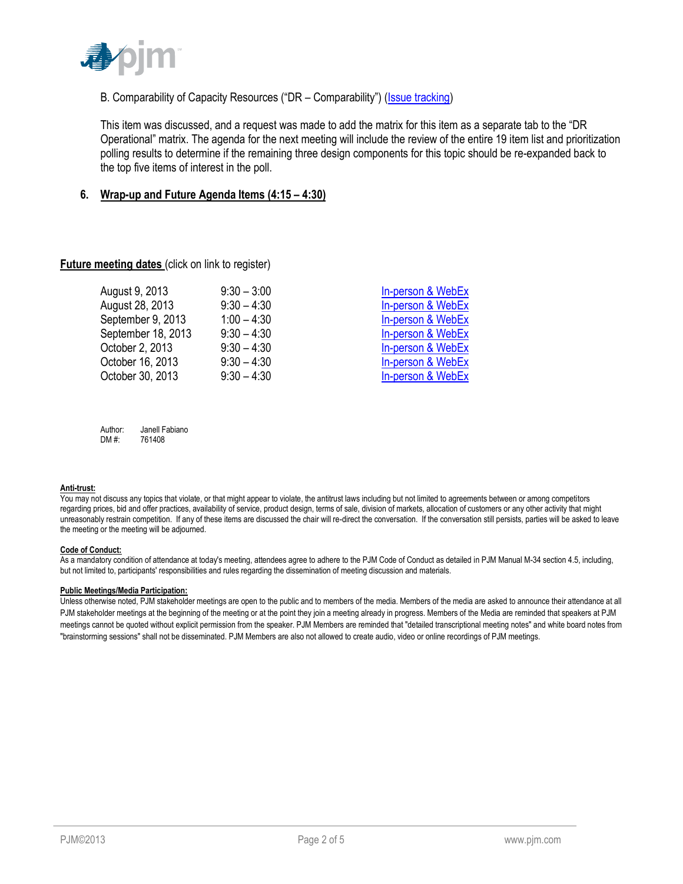

## B. Comparability of Capacity Resources ("DR - Comparability") (*Issue tracking*)

This item was discussed, and a request was made to add the matrix for this item as a separate tab to the "DR Operational" matrix. The agenda for the next meeting will include the review of the entire 19 item list and prioritization polling results to determine if the remaining three design components for this topic should be re-expanded back to the top five items of interest in the poll.

#### **6. Wrap-up and Future Agenda Items (4:15 – 4:30)**

#### **Future meeting dates (click on link to register)**

| August 9, 2013     | $9:30 - 3:00$ | In-person & WebEx |
|--------------------|---------------|-------------------|
| August 28, 2013    | $9:30 - 4:30$ | In-person & WebEx |
| September 9, 2013  | $1:00 - 4:30$ | In-person & WebEx |
| September 18, 2013 | $9:30 - 4:30$ | In-person & WebEx |
| October 2, 2013    | $9:30 - 4:30$ | In-person & WebEx |
| October 16, 2013   | $9:30 - 4:30$ | In-person & WebEx |
| October 30, 2013   | $9:30 - 4:30$ | In-person & WebEx |

Author: Janell Fabiano DM #: 761408

#### **Anti-trust:**

You may not discuss any topics that violate, or that might appear to violate, the antitrust laws including but not limited to agreements between or among competitors regarding prices, bid and offer practices, availability of service, product design, terms of sale, division of markets, allocation of customers or any other activity that might unreasonably restrain competition. If any of these items are discussed the chair will re-direct the conversation. If the conversation still persists, parties will be asked to leave the meeting or the meeting will be adjourned.

#### **Code of Conduct:**

As a mandatory condition of attendance at today's meeting, attendees agree to adhere to the PJM Code of Conduct as detailed in PJM Manual M-34 section 4.5, including, but not limited to, participants' responsibilities and rules regarding the dissemination of meeting discussion and materials.

#### **Public Meetings/Media Participation:**

Unless otherwise noted, PJM stakeholder meetings are open to the public and to members of the media. Members of the media are asked to announce their attendance at all PJM stakeholder meetings at the beginning of the meeting or at the point they join a meeting already in progress. Members of the Media are reminded that speakers at PJM meetings cannot be quoted without explicit permission from the speaker. PJM Members are reminded that "detailed transcriptional meeting notes" and white board notes from "brainstorming sessions" shall not be disseminated. PJM Members are also not allowed to create audio, video or online recordings of PJM meetings.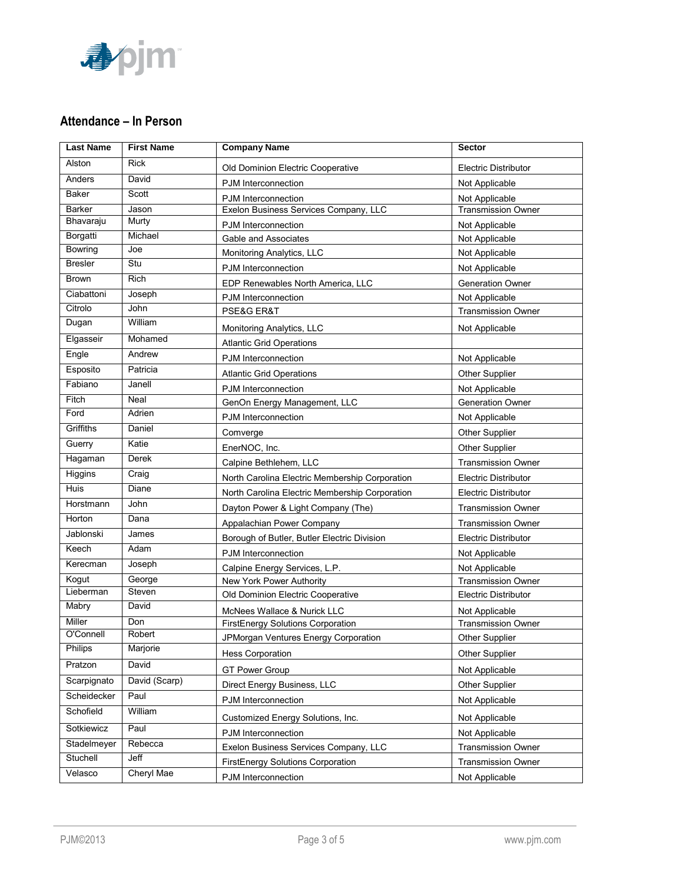

## **Attendance – In Person**

| <b>Last Name</b> | <b>First Name</b> | <b>Company Name</b>                            | <b>Sector</b>               |
|------------------|-------------------|------------------------------------------------|-----------------------------|
| Alston           | <b>Rick</b>       | Old Dominion Electric Cooperative              | <b>Electric Distributor</b> |
| Anders           | David             | PJM Interconnection                            | Not Applicable              |
| Baker            | Scott             | PJM Interconnection                            | Not Applicable              |
| <b>Barker</b>    | Jason             | Exelon Business Services Company, LLC          | <b>Transmission Owner</b>   |
| Bhavaraju        | Murty             | PJM Interconnection                            | Not Applicable              |
| Borgatti         | Michael           | Gable and Associates                           | Not Applicable              |
| Bowring          | Joe               | Monitoring Analytics, LLC                      | Not Applicable              |
| <b>Bresler</b>   | Stu               | PJM Interconnection                            | Not Applicable              |
| <b>Brown</b>     | <b>Rich</b>       | EDP Renewables North America, LLC              | <b>Generation Owner</b>     |
| Ciabattoni       | Joseph            | PJM Interconnection                            | Not Applicable              |
| Citrolo          | John              | PSE&G ER&T                                     | <b>Transmission Owner</b>   |
| Dugan            | William           | Monitoring Analytics, LLC                      | Not Applicable              |
| Elgasseir        | Mohamed           | <b>Atlantic Grid Operations</b>                |                             |
| Engle            | Andrew            | PJM Interconnection                            | Not Applicable              |
| Esposito         | Patricia          | <b>Atlantic Grid Operations</b>                | <b>Other Supplier</b>       |
| Fabiano          | Janell            | PJM Interconnection                            | Not Applicable              |
| Fitch            | <b>Neal</b>       | GenOn Energy Management, LLC                   | <b>Generation Owner</b>     |
| Ford             | Adrien            | PJM Interconnection                            | Not Applicable              |
| Griffiths        | Daniel            | Comverge                                       | Other Supplier              |
| Guerry           | Katie             | EnerNOC, Inc.                                  | <b>Other Supplier</b>       |
| Hagaman          | Derek             | Calpine Bethlehem, LLC                         | <b>Transmission Owner</b>   |
| Higgins          | Craig             | North Carolina Electric Membership Corporation | <b>Electric Distributor</b> |
| Huis             | Diane             | North Carolina Electric Membership Corporation | <b>Electric Distributor</b> |
| Horstmann        | John              | Dayton Power & Light Company (The)             | <b>Transmission Owner</b>   |
| Horton           | Dana              | Appalachian Power Company                      | <b>Transmission Owner</b>   |
| Jablonski        | James             | Borough of Butler, Butler Electric Division    | <b>Electric Distributor</b> |
| Keech            | Adam              | PJM Interconnection                            | Not Applicable              |
| Kerecman         | Joseph            | Calpine Energy Services, L.P.                  | Not Applicable              |
| Kogut            | George            | New York Power Authority                       | <b>Transmission Owner</b>   |
| Lieberman        | Steven            | Old Dominion Electric Cooperative              | <b>Electric Distributor</b> |
| Mabry            | David             | McNees Wallace & Nurick LLC                    | Not Applicable              |
| Miller           | Don               | FirstEnergy Solutions Corporation              | <b>Transmission Owner</b>   |
| O'Connell        | Robert            | JPMorgan Ventures Energy Corporation           | <b>Other Supplier</b>       |
| Philips          | Marjorie          | <b>Hess Corporation</b>                        | Other Supplier              |
| Pratzon          | David             | <b>GT Power Group</b>                          | Not Applicable              |
| Scarpignato      | David (Scarp)     | Direct Energy Business, LLC                    | Other Supplier              |
| Scheidecker      | Paul              | PJM Interconnection                            | Not Applicable              |
| Schofield        | William           |                                                |                             |
| Sotkiewicz       | Paul              | Customized Energy Solutions, Inc.              | Not Applicable              |
| Stadelmeyer      | Rebecca           | PJM Interconnection                            | Not Applicable              |
| Stuchell         | Jeff              | Exelon Business Services Company, LLC          | <b>Transmission Owner</b>   |
| Velasco          | Cheryl Mae        | FirstEnergy Solutions Corporation              | <b>Transmission Owner</b>   |
|                  |                   | PJM Interconnection                            | Not Applicable              |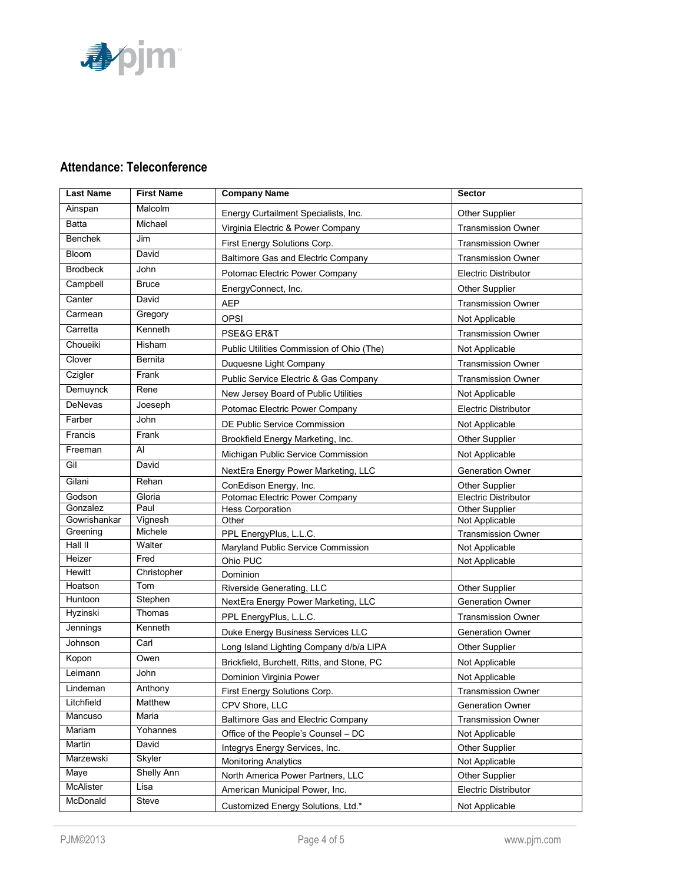

# **Attendance: Teleconference**

| <b>Last Name</b>   | <b>First Name</b> | <b>Company Name</b>                        | <b>Sector</b>                    |
|--------------------|-------------------|--------------------------------------------|----------------------------------|
| Ainspan            | Malcolm           | Energy Curtailment Specialists, Inc.       | <b>Other Supplier</b>            |
| <b>Batta</b>       | Michael           | Virginia Electric & Power Company          | <b>Transmission Owner</b>        |
| Benchek            | Jim               | First Energy Solutions Corp.               | <b>Transmission Owner</b>        |
| Bloom              | David             | Baltimore Gas and Electric Company         | <b>Transmission Owner</b>        |
| <b>Brodbeck</b>    | John              |                                            |                                  |
| Campbell           | <b>Bruce</b>      | Potomac Electric Power Company             | <b>Electric Distributor</b>      |
| Canter             | David             | EnergyConnect, Inc.                        | <b>Other Supplier</b>            |
| Carmean            |                   | <b>AEP</b>                                 | <b>Transmission Owner</b>        |
|                    | Gregory           | <b>OPSI</b>                                | Not Applicable                   |
| Carretta           | Kenneth           | PSE&G ER&T                                 | <b>Transmission Owner</b>        |
| Choueiki           | Hisham            | Public Utilities Commission of Ohio (The)  | Not Applicable                   |
| Clover             | Bernita           | Duquesne Light Company                     | <b>Transmission Owner</b>        |
| Czigler            | Frank             | Public Service Electric & Gas Company      | <b>Transmission Owner</b>        |
| Demuynck           | Rene              | New Jersey Board of Public Utilities       | Not Applicable                   |
| <b>DeNevas</b>     | Joeseph           | Potomac Electric Power Company             | <b>Electric Distributor</b>      |
| Farber             | John              | DE Public Service Commission               | Not Applicable                   |
| Francis            | Frank             | Brookfield Energy Marketing, Inc.          | <b>Other Supplier</b>            |
| Freeman            | Al                |                                            |                                  |
| Gil                | David             | Michigan Public Service Commission         | Not Applicable                   |
|                    |                   | NextEra Energy Power Marketing, LLC        | <b>Generation Owner</b>          |
| Gilani             | Rehan             | ConEdison Energy, Inc.                     | <b>Other Supplier</b>            |
| Godson<br>Gonzalez | Gloria<br>Paul    | Potomac Electric Power Company             | Electric Distributor             |
| Gowrishankar       | Vignesh           | <b>Hess Corporation</b><br>Other           | Other Supplier<br>Not Applicable |
| Greening           | Michele           | PPL EnergyPlus, L.L.C.                     | Transmission Owner               |
| Hall II            | Walter            | Maryland Public Service Commission         | Not Applicable                   |
| Heizer             | Fred              | Ohio PUC                                   | Not Applicable                   |
| Hewitt             | Christopher       | Dominion                                   |                                  |
| Hoatson            | Tom               | Riverside Generating, LLC                  | <b>Other Supplier</b>            |
| Huntoon            | Stephen           | NextEra Energy Power Marketing, LLC        | <b>Generation Owner</b>          |
| Hyzinski           | Thomas            | PPL EnergyPlus, L.L.C.                     | <b>Transmission Owner</b>        |
| Jennings           | Kenneth           | Duke Energy Business Services LLC          | <b>Generation Owner</b>          |
| Johnson            | Carl              |                                            |                                  |
| Kopon              | Owen              | Long Island Lighting Company d/b/a LIPA    | Other Supplier                   |
| Leimann            | John              | Brickfield, Burchett, Ritts, and Stone, PC | Not Applicable                   |
| Lindeman           | Anthony           | Dominion Virginia Power                    | Not Applicable                   |
| Litchfield         | Matthew           | First Energy Solutions Corp.               | Transmission Owner               |
|                    |                   | CPV Shore, LLC                             | <b>Generation Owner</b>          |
| Mancuso            | Maria             | Baltimore Gas and Electric Company         | <b>Transmission Owner</b>        |
| Mariam             | Yohannes          | Office of the People's Counsel - DC        | Not Applicable                   |
| Martin             | David             | Integrys Energy Services, Inc.             | Other Supplier                   |
| Marzewski          | Skyler            | <b>Monitoring Analytics</b>                | Not Applicable                   |
| Maye               | <b>Shelly Ann</b> | North America Power Partners, LLC          | Other Supplier                   |
| McAlister          | Lisa              | American Municipal Power, Inc.             | <b>Electric Distributor</b>      |
| McDonald           | <b>Steve</b>      | Customized Energy Solutions, Ltd.*         | Not Applicable                   |